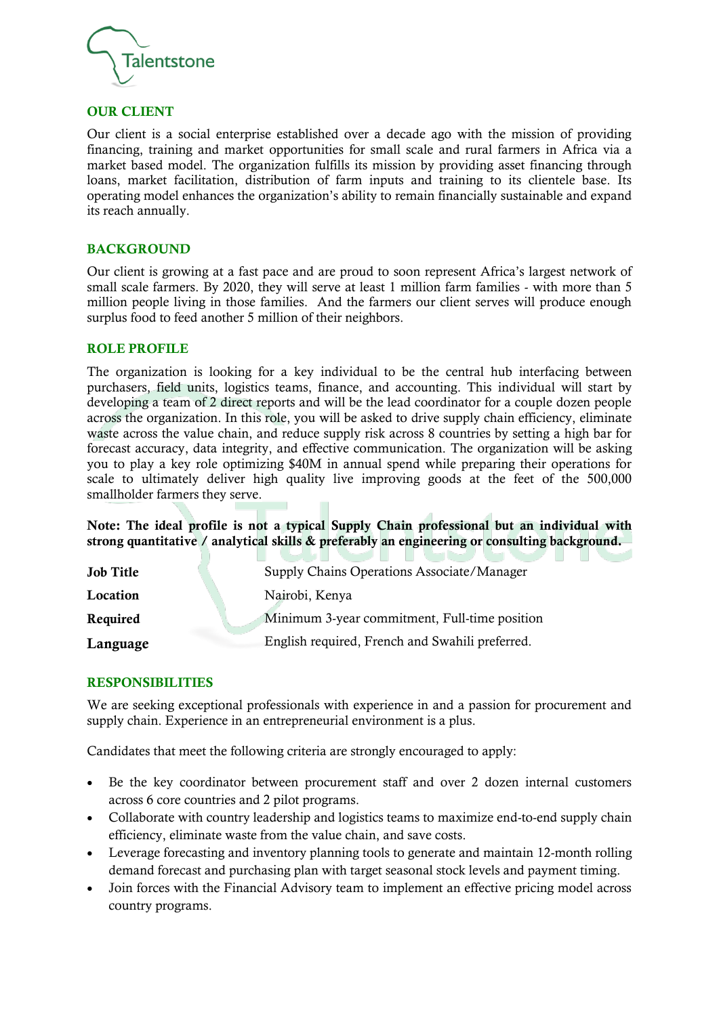

#### OUR CLIENT

Our client is a social enterprise established over a decade ago with the mission of providing financing, training and market opportunities for small scale and rural farmers in Africa via a market based model. The organization fulfills its mission by providing asset financing through loans, market facilitation, distribution of farm inputs and training to its clientele base. Its operating model enhances the organization's ability to remain financially sustainable and expand its reach annually.

#### **BACKGROUND**

Our client is growing at a fast pace and are proud to soon represent Africa's largest network of small scale farmers. By 2020, they will serve at least 1 million farm families - with more than 5 million people living in those families. And the farmers our client serves will produce enough surplus food to feed another 5 million of their neighbors.

#### ROLE PROFILE

The organization is looking for a key individual to be the central hub interfacing between purchasers, field units, logistics teams, finance, and accounting. This individual will start by developing a team of 2 direct reports and will be the lead coordinator for a couple dozen people across the organization. In this role, you will be asked to drive supply chain efficiency, eliminate waste across the value chain, and reduce supply risk across 8 countries by setting a high bar for forecast accuracy, data integrity, and effective communication. The organization will be asking you to play a key role optimizing \$40M in annual spend while preparing their operations for scale to ultimately deliver high quality live improving goods at the feet of the 500,000 smallholder farmers they serve.

Note: The ideal profile is not a typical Supply Chain professional but an individual with strong quantitative / analytical skills & preferably an engineering or consulting background.

| <b>Job Title</b> | Supply Chains Operations Associate/Manager      |
|------------------|-------------------------------------------------|
| Location         | Nairobi, Kenya                                  |
| Required         | Minimum 3-year commitment, Full-time position   |
| Language         | English required, French and Swahili preferred. |

# RESPONSIBILITIES

We are seeking exceptional professionals with experience in and a passion for procurement and supply chain. Experience in an entrepreneurial environment is a plus.

Candidates that meet the following criteria are strongly encouraged to apply:

- Be the key coordinator between procurement staff and over 2 dozen internal customers across 6 core countries and 2 pilot programs.
- Collaborate with country leadership and logistics teams to maximize end-to-end supply chain efficiency, eliminate waste from the value chain, and save costs.
- Leverage forecasting and inventory planning tools to generate and maintain 12-month rolling demand forecast and purchasing plan with target seasonal stock levels and payment timing.
- Join forces with the Financial Advisory team to implement an effective pricing model across country programs.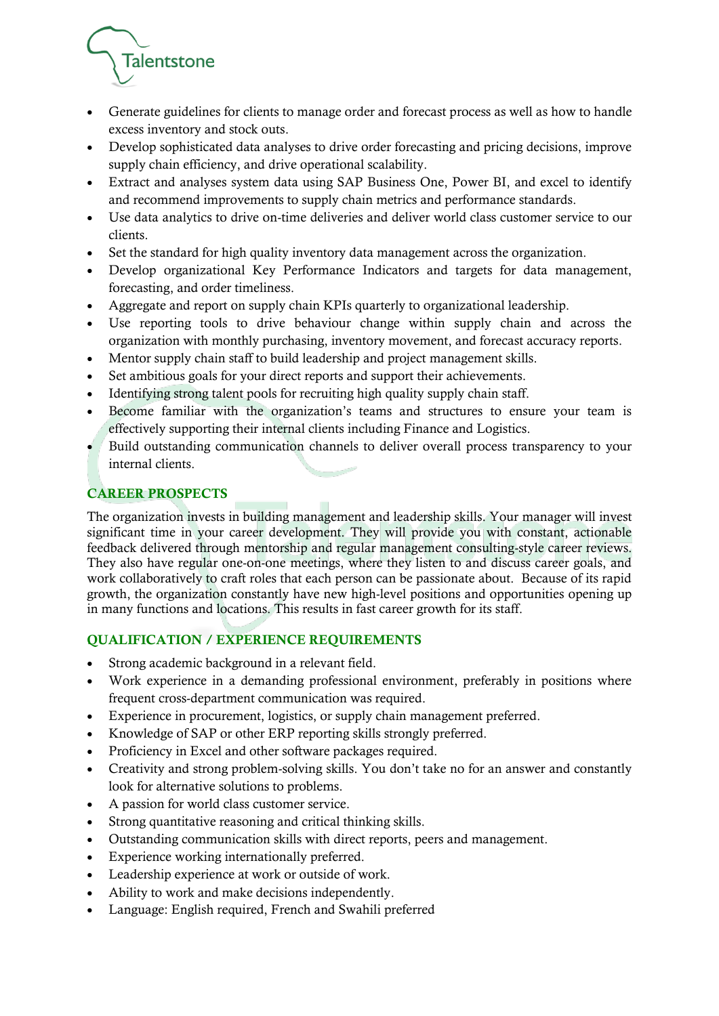

- Generate guidelines for clients to manage order and forecast process as well as how to handle excess inventory and stock outs.
- Develop sophisticated data analyses to drive order forecasting and pricing decisions, improve supply chain efficiency, and drive operational scalability.
- Extract and analyses system data using SAP Business One, Power BI, and excel to identify and recommend improvements to supply chain metrics and performance standards.
- Use data analytics to drive on-time deliveries and deliver world class customer service to our clients.
- Set the standard for high quality inventory data management across the organization.
- Develop organizational Key Performance Indicators and targets for data management, forecasting, and order timeliness.
- Aggregate and report on supply chain KPIs quarterly to organizational leadership.
- Use reporting tools to drive behaviour change within supply chain and across the organization with monthly purchasing, inventory movement, and forecast accuracy reports.
- Mentor supply chain staff to build leadership and project management skills.
- Set ambitious goals for your direct reports and support their achievements.
- Identifying strong talent pools for recruiting high quality supply chain staff.
- Become familiar with the organization's teams and structures to ensure your team is effectively supporting their internal clients including Finance and Logistics.
- Build outstanding communication channels to deliver overall process transparency to your internal clients.

# CAREER PROSPECTS

The organization invests in building management and leadership skills. Your manager will invest significant time in your career development. They will provide you with constant, actionable feedback delivered through mentorship and regular management consulting-style career reviews. They also have regular one-on-one meetings, where they listen to and discuss career goals, and work collaboratively to craft roles that each person can be passionate about. Because of its rapid growth, the organization constantly have new high-level positions and opportunities opening up in many functions and locations. This results in fast career growth for its staff.

# QUALIFICATION / EXPERIENCE REQUIREMENTS

- Strong academic background in a relevant field.
- Work experience in a demanding professional environment, preferably in positions where frequent cross-department communication was required.
- Experience in procurement, logistics, or supply chain management preferred.
- Knowledge of SAP or other ERP reporting skills strongly preferred.
- Proficiency in Excel and other software packages required.
- Creativity and strong problem-solving skills. You don't take no for an answer and constantly look for alternative solutions to problems.
- A passion for world class customer service.
- Strong quantitative reasoning and critical thinking skills.
- Outstanding communication skills with direct reports, peers and management.
- Experience working internationally preferred.
- Leadership experience at work or outside of work.
- Ability to work and make decisions independently.
- Language: English required, French and Swahili preferred